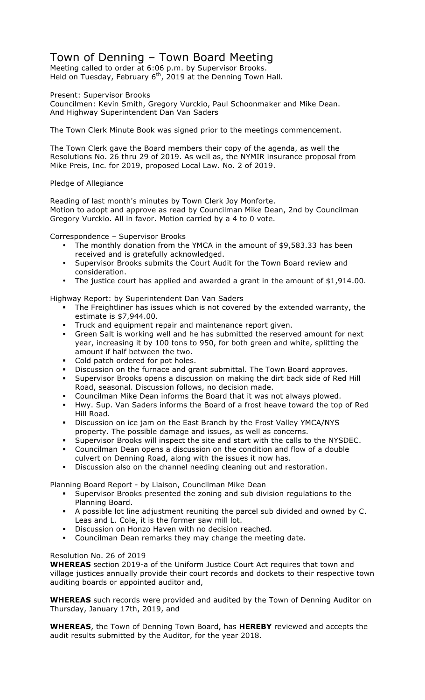# Town of Denning – Town Board Meeting

Meeting called to order at 6:06 p.m. by Supervisor Brooks. Held on Tuesday, February  $6<sup>th</sup>$ , 2019 at the Denning Town Hall.

Present: Supervisor Brooks

Councilmen: Kevin Smith, Gregory Vurckio, Paul Schoonmaker and Mike Dean. And Highway Superintendent Dan Van Saders

The Town Clerk Minute Book was signed prior to the meetings commencement.

The Town Clerk gave the Board members their copy of the agenda, as well the Resolutions No. 26 thru 29 of 2019. As well as, the NYMIR insurance proposal from Mike Preis, Inc. for 2019, proposed Local Law. No. 2 of 2019.

### Pledge of Allegiance

Reading of last month's minutes by Town Clerk Joy Monforte. Motion to adopt and approve as read by Councilman Mike Dean, 2nd by Councilman Gregory Vurckio. All in favor. Motion carried by a 4 to 0 vote.

Correspondence – Supervisor Brooks

- The monthly donation from the YMCA in the amount of \$9,583.33 has been received and is gratefully acknowledged.
- Supervisor Brooks submits the Court Audit for the Town Board review and consideration.
- The justice court has applied and awarded a grant in the amount of \$1,914.00.

Highway Report: by Superintendent Dan Van Saders

- ! The Freightliner has issues which is not covered by the extended warranty, the estimate is \$7,944.00.
- ! Truck and equipment repair and maintenance report given.
- ! Green Salt is working well and he has submitted the reserved amount for next year, increasing it by 100 tons to 950, for both green and white, splitting the amount if half between the two.
- Cold patch ordered for pot holes.
- ! Discussion on the furnace and grant submittal. The Town Board approves.
- ! Supervisor Brooks opens a discussion on making the dirt back side of Red Hill Road, seasonal. Discussion follows, no decision made.
- ! Councilman Mike Dean informs the Board that it was not always plowed.
- ! Hwy. Sup. Van Saders informs the Board of a frost heave toward the top of Red Hill Road.
- ! Discussion on ice jam on the East Branch by the Frost Valley YMCA/NYS property. The possible damage and issues, as well as concerns.
- ! Supervisor Brooks will inspect the site and start with the calls to the NYSDEC.
- ! Councilman Dean opens a discussion on the condition and flow of a double culvert on Denning Road, along with the issues it now has.
- ! Discussion also on the channel needing cleaning out and restoration.

## Planning Board Report - by Liaison, Councilman Mike Dean

- ! Supervisor Brooks presented the zoning and sub division regulations to the Planning Board.
- ! A possible lot line adjustment reuniting the parcel sub divided and owned by C. Leas and L. Cole, it is the former saw mill lot.
- **EXEDE EXECTE IS CONCOCO EXECTE IS CONCOCO EXECUTE:** Discussion on Honzo Haven models reached.
- ! Councilman Dean remarks they may change the meeting date.

## Resolution No. 26 of 2019

**WHEREAS** section 2019-a of the Uniform Justice Court Act requires that town and village justices annually provide their court records and dockets to their respective town auditing boards or appointed auditor and,

**WHEREAS** such records were provided and audited by the Town of Denning Auditor on Thursday, January 17th, 2019, and

**WHEREAS**, the Town of Denning Town Board, has **HEREBY** reviewed and accepts the audit results submitted by the Auditor, for the year 2018.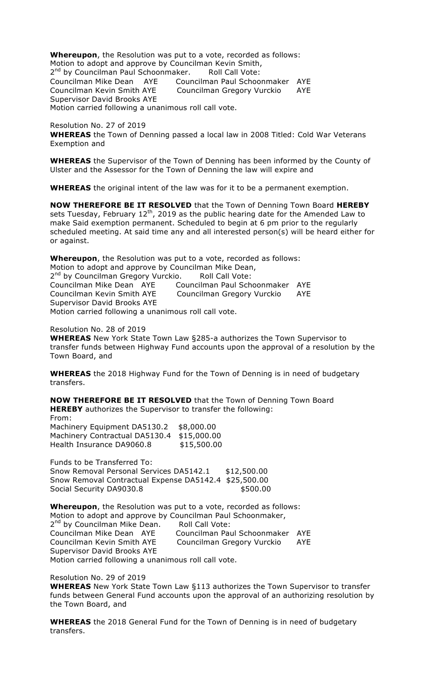**Whereupon**, the Resolution was put to a vote, recorded as follows: Motion to adopt and approve by Councilman Kevin Smith, 2<sup>nd</sup> by Councilman Paul Schoonmaker. Roll Call Vote: Councilman Mike Dean AYE Councilman Paul Schoonmaker AYE Councilman Kevin Smith AYE Councilman Gregory Vurckio AYE Supervisor David Brooks AYE Motion carried following a unanimous roll call vote.

Resolution No. 27 of 2019 **WHEREAS** the Town of Denning passed a local law in 2008 Titled: Cold War Veterans Exemption and

**WHEREAS** the Supervisor of the Town of Denning has been informed by the County of Ulster and the Assessor for the Town of Denning the law will expire and

**WHEREAS** the original intent of the law was for it to be a permanent exemption.

**NOW THEREFORE BE IT RESOLVED** that the Town of Denning Town Board **HEREBY** sets Tuesday, February  $12^{th}$ , 2019 as the public hearing date for the Amended Law to make Said exemption permanent. Scheduled to begin at 6 pm prior to the regularly scheduled meeting. At said time any and all interested person(s) will be heard either for or against.

**Whereupon**, the Resolution was put to a vote, recorded as follows: Motion to adopt and approve by Councilman Mike Dean, 2<sup>nd</sup> by Councilman Gregory Vurckio. Roll Call Vote: Councilman Mike Dean AYE Councilman Paul Schoonmaker AYE Councilman Kevin Smith AYE Councilman Gregory Vurckio AYE Supervisor David Brooks AYE Motion carried following a unanimous roll call vote.

Resolution No. 28 of 2019

**WHEREAS** New York State Town Law §285-a authorizes the Town Supervisor to transfer funds between Highway Fund accounts upon the approval of a resolution by the Town Board, and

**WHEREAS** the 2018 Highway Fund for the Town of Denning is in need of budgetary transfers.

**NOW THEREFORE BE IT RESOLVED** that the Town of Denning Town Board **HEREBY** authorizes the Supervisor to transfer the following: From:

| \$8,000.00  |
|-------------|
| \$15,000.00 |
| \$15,500.00 |
|             |

Funds to be Transferred To: Snow Removal Personal Services DA5142.1 \$12,500.00 Snow Removal Contractual Expense DA5142.4 \$25,500.00 Social Security DA9030.8 \$500.00

**Whereupon**, the Resolution was put to a vote, recorded as follows: Motion to adopt and approve by Councilman Paul Schoonmaker, 2<sup>nd</sup> by Councilman Mike Dean. Roll Call Vote: Councilman Mike Dean AYE Councilman Paul Schoonmaker AYE Councilman Kevin Smith AYE Councilman Gregory Vurckio AYE Supervisor David Brooks AYE Motion carried following a unanimous roll call vote.

Resolution No. 29 of 2019

**WHEREAS** New York State Town Law §113 authorizes the Town Supervisor to transfer funds between General Fund accounts upon the approval of an authorizing resolution by the Town Board, and

**WHEREAS** the 2018 General Fund for the Town of Denning is in need of budgetary transfers.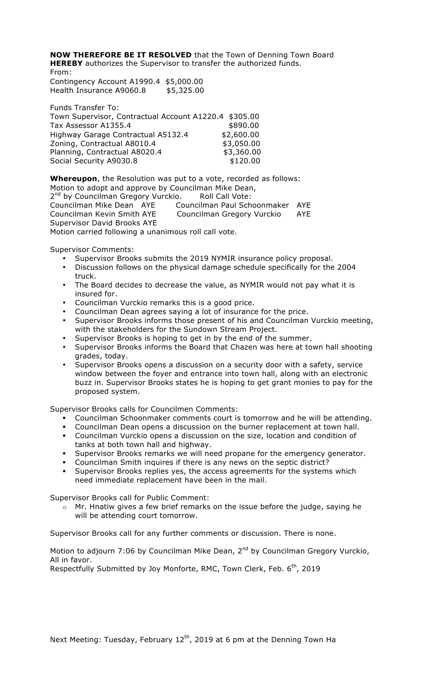**NOW THEREFORE BE IT RESOLVED** that the Town of Denning Town Board **HEREBY** authorizes the Supervisor to transfer the authorized funds. From:

Contingency Account A1990.4 \$5,000.00 Health Insurance A9060.8 \$5,325.00

| <b>Funds Transfer To:</b>                             |            |
|-------------------------------------------------------|------------|
| Town Supervisor, Contractual Account A1220.4 \$305.00 |            |
| Tax Assessor A1355.4                                  | \$890.00   |
| Highway Garage Contractual A5132.4                    | \$2,600.00 |
| Zoning, Contractual A8010.4                           | \$3,050.00 |
| Planning, Contractual A8020.4                         | \$3,360.00 |
| Social Security A9030.8                               | \$120.00   |
|                                                       |            |

**Whereupon**, the Resolution was put to a vote, recorded as follows: Motion to adopt and approve by Councilman Mike Dean, 2<sup>nd</sup> by Councilman Gregory Vurckio. Roll Call Vote: Councilman Mike Dean AYE Councilman Paul Schoonmaker AYE Councilman Kevin Smith AYE Councilman Gregory Vurckio AYE Supervisor David Brooks AYE Motion carried following a unanimous roll call vote.

Supervisor Comments:

- Supervisor Brooks submits the 2019 NYMIR insurance policy proposal.
- Discussion follows on the physical damage schedule specifically for the 2004 truck.
- The Board decides to decrease the value, as NYMIR would not pay what it is insured for.
- Councilman Vurckio remarks this is a good price.
- Councilman Dean agrees saying a lot of insurance for the price.
- Supervisor Brooks informs those present of his and Councilman Vurckio meeting, with the stakeholders for the Sundown Stream Project.
- Supervisor Brooks is hoping to get in by the end of the summer.
- Supervisor Brooks informs the Board that Chazen was here at town hall shooting grades, today.
- Supervisor Brooks opens a discussion on a security door with a safety, service window between the foyer and entrance into town hall, along with an electronic buzz in. Supervisor Brooks states he is hoping to get grant monies to pay for the proposed system.

Supervisor Brooks calls for Councilmen Comments:

- ! Councilman Schoonmaker comments court is tomorrow and he will be attending.
- ! Councilman Dean opens a discussion on the burner replacement at town hall. ! Councilman Vurckio opens a discussion on the size, location and condition of tanks at both town hall and highway.
- Supervisor Brooks remarks we will need propane for the emergency generator.
- ! Councilman Smith inquires if there is any news on the septic district?
- ! Supervisor Brooks replies yes, the access agreements for the systems which need immediate replacement have been in the mail.

Supervisor Brooks call for Public Comment:

o Mr. Hnatiw gives a few brief remarks on the issue before the judge, saying he will be attending court tomorrow.

Supervisor Brooks call for any further comments or discussion. There is none.

Motion to adjourn 7:06 by Councilman Mike Dean, 2<sup>nd</sup> by Councilman Gregory Vurckio, All in favor.

Respectfully Submitted by Joy Monforte, RMC, Town Clerk, Feb. 6<sup>th</sup>, 2019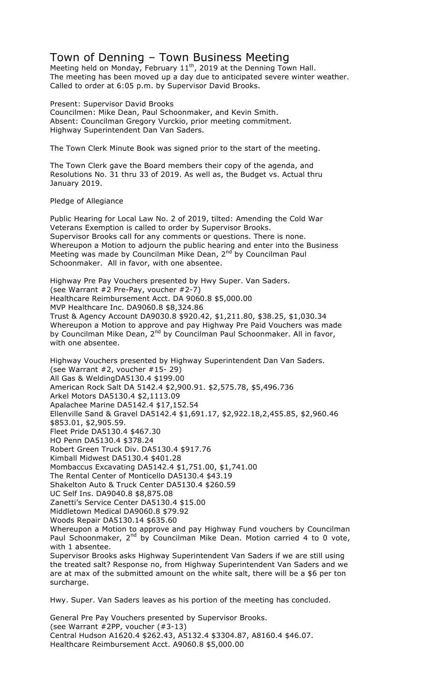# Town of Denning – Town Business Meeting

Meeting held on Monday, February  $11<sup>th</sup>$ , 2019 at the Denning Town Hall. The meeting has been moved up a day due to anticipated severe winter weather. Called to order at 6:05 p.m. by Supervisor David Brooks.

Present: Supervisor David Brooks Councilmen: Mike Dean, Paul Schoonmaker, and Kevin Smith. Absent: Councilman Gregory Vurckio, prior meeting commitment. Highway Superintendent Dan Van Saders.

The Town Clerk Minute Book was signed prior to the start of the meeting.

The Town Clerk gave the Board members their copy of the agenda, and Resolutions No. 31 thru 33 of 2019. As well as, the Budget vs. Actual thru January 2019.

Pledge of Allegiance

Public Hearing for Local Law No. 2 of 2019, tilted: Amending the Cold War Veterans Exemption is called to order by Supervisor Brooks. Supervisor Brooks call for any comments or questions. There is none. Whereupon a Motion to adjourn the public hearing and enter into the Business Meeting was made by Councilman Mike Dean, 2<sup>nd</sup> by Councilman Paul Schoonmaker. All in favor, with one absentee.

Highway Pre Pay Vouchers presented by Hwy Super. Van Saders. (see Warrant #2 Pre-Pay, voucher #2-7) Healthcare Reimbursement Acct. DA 9060.8 \$5,000.00 MVP Healthcare Inc. DA9060.8 \$8,324.86 Trust & Agency Account DA9030.8 \$920.42, \$1,211.80, \$38.25, \$1,030.34 Whereupon a Motion to approve and pay Highway Pre Paid Vouchers was made by Councilman Mike Dean, 2<sup>nd</sup> by Councilman Paul Schoonmaker. All in favor, with one absentee.

Highway Vouchers presented by Highway Superintendent Dan Van Saders. (see Warrant #2, voucher #15- 29) All Gas & WeldingDA5130.4 \$199.00 American Rock Salt DA 5142.4 \$2,900.91. \$2,575.78, \$5,496.736 Arkel Motors DA5130.4 \$2,1113.09 Apalachee Marine DA5142.4 \$17,152.54 Ellenville Sand & Gravel DA5142.4 \$1,691.17, \$2,922.18,2,455.85, \$2,960.46 \$853.01, \$2,905.59. Fleet Pride DA5130.4 \$467.30 HO Penn DA5130.4 \$378.24 Robert Green Truck Div. DA5130.4 \$917.76 Kimball Midwest DA5130.4 \$401.28 Mombaccus Excavating DA5142.4 \$1,751.00, \$1,741.00 The Rental Center of Monticello DA5130.4 \$43.19 Shakelton Auto & Truck Center DA5130.4 \$260.59 UC Self Ins. DA9040.8 \$8,875.08 Zanetti's Service Center DA5130.4 \$15.00 Middletown Medical DA9060.8 \$79.92 Woods Repair DA5130.14 \$635.60 Whereupon a Motion to approve and pay Highway Fund vouchers by Councilman Paul Schoonmaker,  $2^{nd}$  by Councilman Mike Dean. Motion carried 4 to 0 vote, with 1 absentee. Supervisor Brooks asks Highway Superintendent Van Saders if we are still using the treated salt? Response no, from Highway Superintendent Van Saders and we

are at max of the submitted amount on the white salt, there will be a \$6 per ton surcharge.

Hwy. Super. Van Saders leaves as his portion of the meeting has concluded.

General Pre Pay Vouchers presented by Supervisor Brooks. (see Warrant #2PP, voucher (#3-13) Central Hudson A1620.4 \$262.43, A5132.4 \$3304.87, A8160.4 \$46.07. Healthcare Reimbursement Acct. A9060.8 \$5,000.00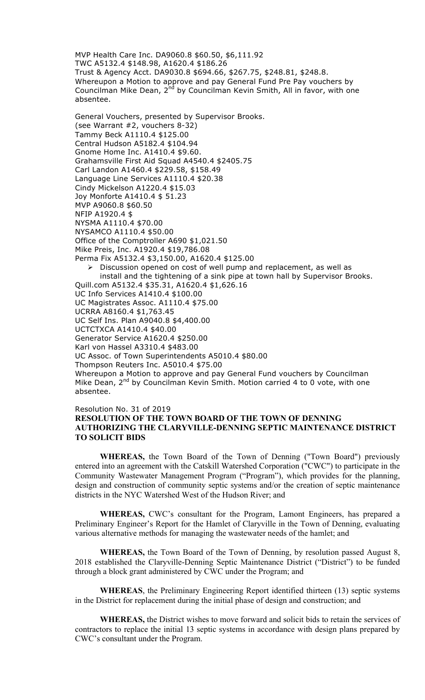MVP Health Care Inc. DA9060.8 \$60.50, \$6,111.92 TWC A5132.4 \$148.98, A1620.4 \$186.26 Trust & Agency Acct. DA9030.8 \$694.66, \$267.75, \$248.81, \$248.8. Whereupon a Motion to approve and pay General Fund Pre Pay vouchers by Councilman Mike Dean, 2<sup>nd</sup> by Councilman Kevin Smith, All in favor, with one absentee.

General Vouchers, presented by Supervisor Brooks. (see Warrant #2, vouchers 8-32) Tammy Beck A1110.4 \$125.00 Central Hudson A5182.4 \$104.94 Gnome Home Inc. A1410.4 \$9.60. Grahamsville First Aid Squad A4540.4 \$2405.75 Carl Landon A1460.4 \$229.58, \$158.49 Language Line Services A1110.4 \$20.38 Cindy Mickelson A1220.4 \$15.03 Joy Monforte A1410.4 \$ 51.23 MVP A9060.8 \$60.50 NFIP A1920.4 \$ NYSMA A1110.4 \$70.00 NYSAMCO A1110.4 \$50.00 Office of the Comptroller A690 \$1,021.50 Mike Preis, Inc. A1920.4 \$19,786.08 Perma Fix A5132.4 \$3,150.00, A1620.4 \$125.00  $\triangleright$  Discussion opened on cost of well pump and replacement, as well as install and the tightening of a sink pipe at town hall by Supervisor Brooks. Quill.com A5132.4 \$35.31, A1620.4 \$1,626.16 UC Info Services A1410.4 \$100.00 UC Magistrates Assoc. A1110.4 \$75.00 UCRRA A8160.4 \$1,763.45 UC Self Ins. Plan A9040.8 \$4,400.00 UCTCTXCA A1410.4 \$40.00 Generator Service A1620.4 \$250.00 Karl von Hassel A3310.4 \$483.00 UC Assoc. of Town Superintendents A5010.4 \$80.00 Thompson Reuters Inc. A5010.4 \$75.00 Whereupon a Motion to approve and pay General Fund vouchers by Councilman Mike Dean,  $2^{nd}$  by Councilman Kevin Smith. Motion carried 4 to 0 vote, with one absentee.

#### Resolution No. 31 of 2019

## **RESOLUTION OF THE TOWN BOARD OF THE TOWN OF DENNING AUTHORIZING THE CLARYVILLE-DENNING SEPTIC MAINTENANCE DISTRICT TO SOLICIT BIDS**

**WHEREAS,** the Town Board of the Town of Denning ("Town Board") previously entered into an agreement with the Catskill Watershed Corporation ("CWC") to participate in the Community Wastewater Management Program ("Program"), which provides for the planning, design and construction of community septic systems and/or the creation of septic maintenance districts in the NYC Watershed West of the Hudson River; and

**WHEREAS,** CWC's consultant for the Program, Lamont Engineers, has prepared a Preliminary Engineer's Report for the Hamlet of Claryville in the Town of Denning, evaluating various alternative methods for managing the wastewater needs of the hamlet; and

**WHEREAS,** the Town Board of the Town of Denning, by resolution passed August 8, 2018 established the Claryville-Denning Septic Maintenance District ("District") to be funded through a block grant administered by CWC under the Program; and

**WHEREAS**, the Preliminary Engineering Report identified thirteen (13) septic systems in the District for replacement during the initial phase of design and construction; and

**WHEREAS,** the District wishes to move forward and solicit bids to retain the services of contractors to replace the initial 13 septic systems in accordance with design plans prepared by CWC's consultant under the Program.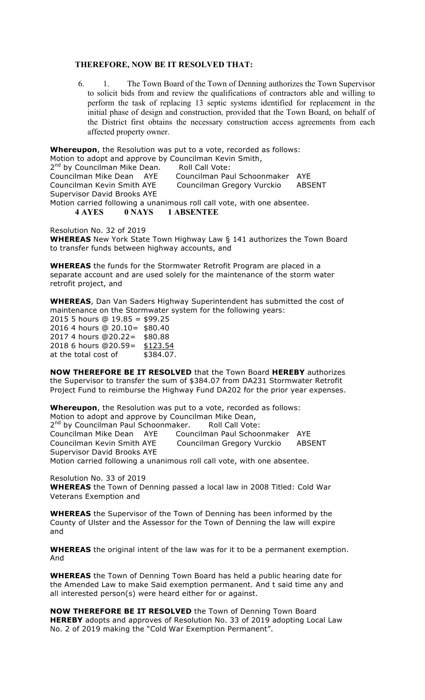### **THEREFORE, NOW BE IT RESOLVED THAT:**

6. 1. The Town Board of the Town of Denning authorizes the Town Supervisor to solicit bids from and review the qualifications of contractors able and willing to perform the task of replacing 13 septic systems identified for replacement in the initial phase of design and construction, provided that the Town Board, on behalf of the District first obtains the necessary construction access agreements from each affected property owner.

**Whereupon**, the Resolution was put to a vote, recorded as follows: Motion to adopt and approve by Councilman Kevin Smith, 2<sup>nd</sup> by Councilman Mike Dean. Roll Call Vote: Councilman Mike Dean AYE Councilman Paul Schoonmaker AYE Councilman Kevin Smith AYE Councilman Gregory Vurckio ABSENT Supervisor David Brooks AYE Motion carried following a unanimous roll call vote, with one absentee. **4 AYES 0 NAYS 1 ABSENTEE**

Resolution No. 32 of 2019

**WHEREAS** New York State Town Highway Law § 141 authorizes the Town Board to transfer funds between highway accounts, and

**WHEREAS** the funds for the Stormwater Retrofit Program are placed in a separate account and are used solely for the maintenance of the storm water retrofit project, and

**WHEREAS**, Dan Van Saders Highway Superintendent has submitted the cost of maintenance on the Stormwater system for the following years:

2015 5 hours @ 19.85 = \$99.25 2016 4 hours @ 20.10= \$80.40 2017 4 hours @20.22= \$80.88 2018 6 hours @20.59= \$123.54 at the total cost of \$384.07.

**NOW THEREFORE BE IT RESOLVED** that the Town Board **HEREBY** authorizes the Supervisor to transfer the sum of \$384.07 from DA231 Stormwater Retrofit Project Fund to reimburse the Highway Fund DA202 for the prior year expenses.

**Whereupon**, the Resolution was put to a vote, recorded as follows: Motion to adopt and approve by Councilman Mike Dean,

2<sup>nd</sup> by Councilman Paul Schoonmaker. Roll Call Vote:

Councilman Mike Dean AYE Councilman Paul Schoonmaker AYE Councilman Kevin Smith AYE Councilman Gregory Vurckio ABSENT Supervisor David Brooks AYE

Motion carried following a unanimous roll call vote, with one absentee.

Resolution No. 33 of 2019 **WHEREAS** the Town of Denning passed a local law in 2008 Titled: Cold War Veterans Exemption and

**WHEREAS** the Supervisor of the Town of Denning has been informed by the County of Ulster and the Assessor for the Town of Denning the law will expire and

**WHEREAS** the original intent of the law was for it to be a permanent exemption. And

**WHEREAS** the Town of Denning Town Board has held a public hearing date for the Amended Law to make Said exemption permanent. And t said time any and all interested person(s) were heard either for or against.

**NOW THEREFORE BE IT RESOLVED** the Town of Denning Town Board **HEREBY** adopts and approves of Resolution No. 33 of 2019 adopting Local Law No. 2 of 2019 making the "Cold War Exemption Permanent".